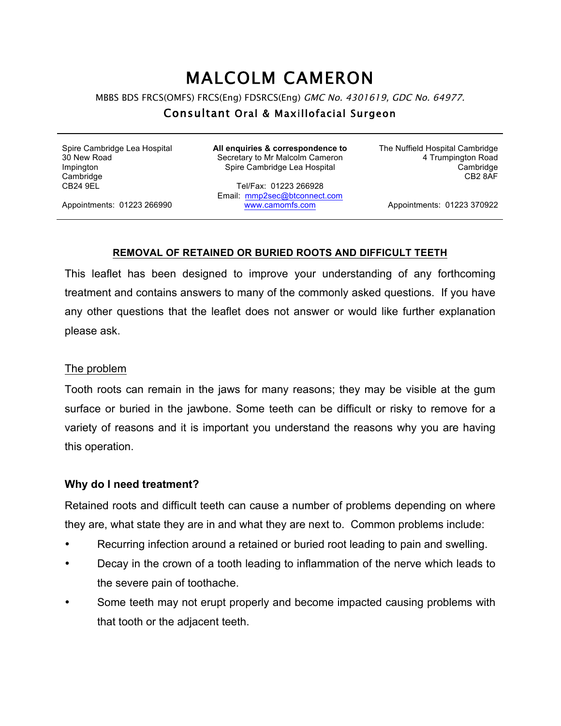# MALCOLM CAMERON

MBBS BDS FRCS(OMFS) FRCS(Eng) FDSRCS(Eng) GMC No. 4301619, GDC No. 64977.

# Consultant Oral & Maxillofacial Surgeon

Spire Cambridge Lea Hospital 30 New Road Impington Cambridge CB24 9EL

**All enquiries & correspondence to** Secretary to Mr Malcolm Cameron Spire Cambridge Lea Hospital

Tel/Fax: 01223 266928 Email: mmp2sec@btconnect.com www.camomfs.com

The Nuffield Hospital Cambridge 4 Trumpington Road Cambridge CB2 8AF

Appointments: 01223 266990

Appointments: 01223 370922

#### **REMOVAL OF RETAINED OR BURIED ROOTS AND DIFFICULT TEETH**

This leaflet has been designed to improve your understanding of any forthcoming treatment and contains answers to many of the commonly asked questions. If you have any other questions that the leaflet does not answer or would like further explanation please ask.

### The problem

Tooth roots can remain in the jaws for many reasons; they may be visible at the gum surface or buried in the jawbone. Some teeth can be difficult or risky to remove for a variety of reasons and it is important you understand the reasons why you are having this operation.

### **Why do I need treatment?**

Retained roots and difficult teeth can cause a number of problems depending on where they are, what state they are in and what they are next to. Common problems include:

- Recurring infection around a retained or buried root leading to pain and swelling.
- Decay in the crown of a tooth leading to inflammation of the nerve which leads to the severe pain of toothache.
- Some teeth may not erupt properly and become impacted causing problems with that tooth or the adjacent teeth.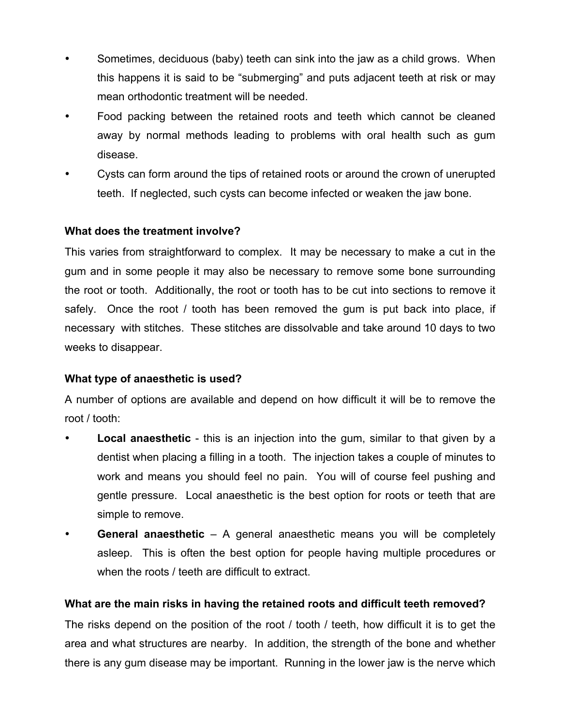- Sometimes, deciduous (baby) teeth can sink into the jaw as a child grows. When this happens it is said to be "submerging" and puts adjacent teeth at risk or may mean orthodontic treatment will be needed.
- Food packing between the retained roots and teeth which cannot be cleaned away by normal methods leading to problems with oral health such as gum disease.
- Cysts can form around the tips of retained roots or around the crown of unerupted teeth. If neglected, such cysts can become infected or weaken the jaw bone.

# **What does the treatment involve?**

This varies from straightforward to complex. It may be necessary to make a cut in the gum and in some people it may also be necessary to remove some bone surrounding the root or tooth. Additionally, the root or tooth has to be cut into sections to remove it safely. Once the root / tooth has been removed the gum is put back into place, if necessary with stitches. These stitches are dissolvable and take around 10 days to two weeks to disappear.

# **What type of anaesthetic is used?**

A number of options are available and depend on how difficult it will be to remove the root / tooth:

- **Local anaesthetic** this is an injection into the gum, similar to that given by a dentist when placing a filling in a tooth. The injection takes a couple of minutes to work and means you should feel no pain. You will of course feel pushing and gentle pressure. Local anaesthetic is the best option for roots or teeth that are simple to remove.
- **General anaesthetic** A general anaesthetic means you will be completely asleep. This is often the best option for people having multiple procedures or when the roots / teeth are difficult to extract.

# **What are the main risks in having the retained roots and difficult teeth removed?**

The risks depend on the position of the root / tooth / teeth, how difficult it is to get the area and what structures are nearby. In addition, the strength of the bone and whether there is any gum disease may be important. Running in the lower jaw is the nerve which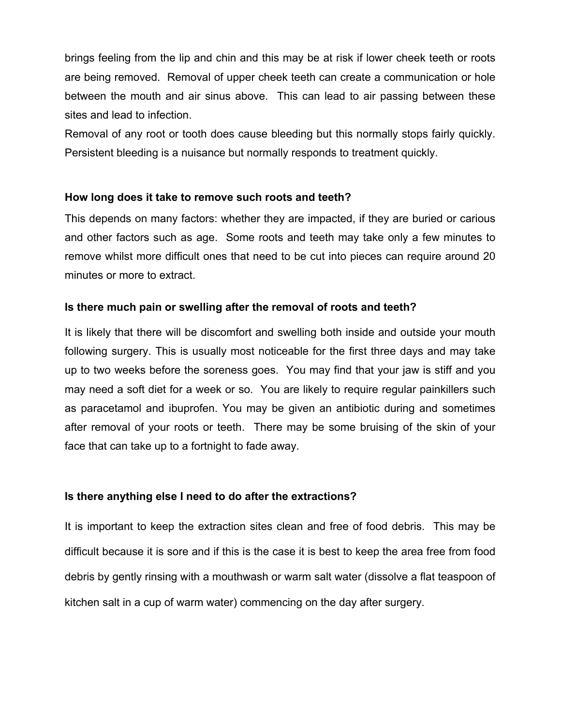brings feeling from the lip and chin and this may be at risk if lower cheek teeth or roots are being removed. Removal of upper cheek teeth can create a communication or hole between the mouth and air sinus above. This can lead to air passing between these sites and lead to infection.

Removal of any root or tooth does cause bleeding but this normally stops fairly quickly. Persistent bleeding is a nuisance but normally responds to treatment quickly.

#### **How long does it take to remove such roots and teeth?**

This depends on many factors: whether they are impacted, if they are buried or carious and other factors such as age. Some roots and teeth may take only a few minutes to remove whilst more difficult ones that need to be cut into pieces can require around 20 minutes or more to extract.

#### **Is there much pain or swelling after the removal of roots and teeth?**

It is likely that there will be discomfort and swelling both inside and outside your mouth following surgery. This is usually most noticeable for the first three days and may take up to two weeks before the soreness goes. You may find that your jaw is stiff and you may need a soft diet for a week or so. You are likely to require regular painkillers such as paracetamol and ibuprofen. You may be given an antibiotic during and sometimes after removal of your roots or teeth. There may be some bruising of the skin of your face that can take up to a fortnight to fade away.

### **Is there anything else I need to do after the extractions?**

It is important to keep the extraction sites clean and free of food debris. This may be difficult because it is sore and if this is the case it is best to keep the area free from food debris by gently rinsing with a mouthwash or warm salt water (dissolve a flat teaspoon of kitchen salt in a cup of warm water) commencing on the day after surgery.